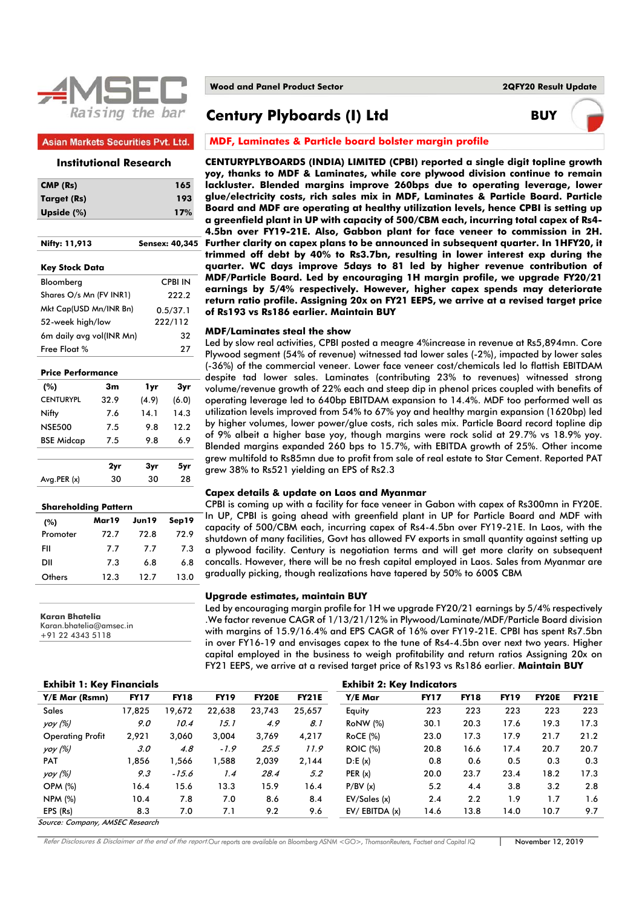

#### **Asian Markets Securities Pvt. Ltd.**

## **Institutional Research**

| CMP (Rs)                 |      |          | 165            |
|--------------------------|------|----------|----------------|
| Target (Rs)              |      |          | 193            |
| Upside (%)               |      |          | 17%            |
|                          |      |          |                |
| Nifty: 11,913            |      |          | Sensex: 40,345 |
| Key Stock Data           |      |          |                |
| Bloomberg                |      |          | <b>CPBI IN</b> |
| Shares O/s Mn (FV INR1)  |      | 222.2    |                |
| Mkt Cap(USD Mn/INR Bn)   |      | 0.5/37.1 |                |
| 52-week high/low         |      | 222/112  |                |
| 6m daily avg vol(INR Mn) |      |          | 32             |
| Free Float %             |      |          | 27             |
| <b>Price Performance</b> |      |          |                |
| (%)                      | 3m   | 1yr      | 3yr            |
| <b>CENTURYPL</b>         | 32.9 | (4.9)    | (6.0)          |
| Nifty                    | 7.6  | 14.1     | 14.3           |
| <b>NSE500</b>            | 7.5  | 9.8      | 12.2           |
| <b>BSE Midcap</b>        | 7.5  | 9.8      | 6.9            |
|                          |      |          |                |
|                          | 2yr  | 3yr      | 5yr            |
| Avg.PER (x)              | 30   | 30       | 28             |
|                          |      |          |                |

| <b>Shareholding Pattern</b> |       |       |       |  |  |  |  |  |  |
|-----------------------------|-------|-------|-------|--|--|--|--|--|--|
| (%)                         | Mar19 | Jun19 | Sep19 |  |  |  |  |  |  |
| Promoter                    | 72.7  | 72.8  | 72.9  |  |  |  |  |  |  |
| FII                         | 7.7   | 7.7   | 7.3   |  |  |  |  |  |  |
| DII                         | 7.3   | 6.8   | 6.8   |  |  |  |  |  |  |
| Others                      | 12.3  | 12.7  | 13.0  |  |  |  |  |  |  |

**Karan Bhatelia** 

Karan.bhatelia@amsec.in +91 22 4343 5118

**Wood and Panel Product Sector 2QFY20 Result Update**

**Century Plyboards (I) Ltd BUY**

# **MDF, Laminates & Particle board bolster margin profile**

**CENTURYPLYBOARDS (INDIA) LIMITED (CPBI) reported a single digit topline growth yoy, thanks to MDF & Laminates, while core plywood division continue to remain lackluster. Blended margins improve 260bps due to operating leverage, lower glue/electricity costs, rich sales mix in MDF, Laminates & Particle Board. Particle Board and MDF are operating at healthy utilization levels, hence CPBI is setting up a greenfield plant in UP with capacity of 500/CBM each, incurring total capex of Rs4- 4.5bn over FY19-21E. Also, Gabbon plant for face veneer to commission in 2H. Further clarity on capex plans to be announced in subsequent quarter. In 1HFY20, it trimmed off debt by 40% to Rs3.7bn, resulting in lower interest exp during the quarter. WC days improve 5days to 81 led by higher revenue contribution of MDF/Particle Board. Led by encouraging 1H margin profile, we upgrade FY20/21 earnings by 5/4% respectively. However, higher capex spends may deteriorate return ratio profile. Assigning 20x on FY21 EEPS, we arrive at a revised target price of Rs193 vs Rs186 earlier. Maintain BUY** 

#### **MDF/Laminates steal the show**

Led by slow real activities, CPBI posted a meagre 4%increase in revenue at Rs5,894mn. Core Plywood segment (54% of revenue) witnessed tad lower sales (-2%), impacted by lower sales (-36%) of the commercial veneer. Lower face veneer cost/chemicals led lo flattish EBITDAM despite tad lower sales. Laminates (contributing 23% to revenues) witnessed strong volume/revenue growth of 22% each and steep dip in phenol prices coupled with benefits of operating leverage led to 640bp EBITDAM expansion to 14.4%. MDF too performed well as utilization levels improved from 54% to 67% yoy and healthy margin expansion (1620bp) led by higher volumes, lower power/glue costs, rich sales mix. Particle Board record topline dip of 9% albeit a higher base yoy, though margins were rock solid at 29.7% vs 18.9% yoy. Blended margins expanded 260 bps to 15.7%, with EBITDA growth of 25%. Other income grew multifold to Rs85mn due to profit from sale of real estate to Star Cement. Reported PAT grew 38% to Rs521 yielding an EPS of Rs2.3

#### **Capex details & update on Laos and Myanmar**

CPBI is coming up with a facility for face veneer in Gabon with capex of Rs300mn in FY20E. In UP, CPBI is going ahead with greenfield plant in UP for Particle Board and MDF with capacity of 500/CBM each, incurring capex of Rs4-4.5bn over FY19-21E. In Laos, with the shutdown of many facilities, Govt has allowed FV exports in small quantity against setting up a plywood facility. Century is negotiation terms and will get more clarity on subsequent concalls. However, there will be no fresh capital employed in Laos. Sales from Myanmar are gradually picking, though realizations have tapered by 50% to 600\$ CBM

#### **Upgrade estimates, maintain BUY**

Led by encouraging margin profile for 1H we upgrade FY20/21 earnings by 5/4% respectively .We factor revenue CAGR of 1/13/21/12% in Plywood/Laminate/MDF/Particle Board division with margins of 15.9/16.4% and EPS CAGR of 16% over FY19-21E. CPBI has spent Rs7.5bn in over FY16-19 and envisages capex to the tune of Rs4-4.5bn over next two years. Higher capital employed in the business to weigh profitability and return ratios Assigning 20x on FY21 EEPS, we arrive at a revised target price of Rs193 vs Rs186 earlier. **Maintain BUY**

| <b>Exhibit 1: Key Financials</b> |             |             |              |              |                 |             |             |                                  |              |              |  |  |
|----------------------------------|-------------|-------------|--------------|--------------|-----------------|-------------|-------------|----------------------------------|--------------|--------------|--|--|
| <b>FY17</b>                      | <b>FY18</b> | <b>FY19</b> | <b>FY20E</b> | <b>FY21E</b> | Y/E Mar         | <b>FY17</b> | <b>FY18</b> | <b>FY19</b>                      | <b>FY20E</b> | <b>FY21E</b> |  |  |
| 17,825                           | 19,672      | 22,638      | 23,743       | 25,657       | Equity          | 223         | 223         | 223                              | 223          | 223          |  |  |
| 9.0                              | 10.4        | 15.1        | 4.9          | 8.1          | <b>RoNW</b> (%) | 30.1        | 20.3        | 17.6                             | 19.3         | 17.3         |  |  |
| 2,921                            | 3,060       | 3.004       | 3,769        | 4,217        | $RoCE$ (%)      | 23.0        | 17.3        | 17.9                             | 21.7         | 21.2         |  |  |
| 3.0                              | 4.8         | $-1.9$      | 25.5         | 11.9         | <b>ROIC (%)</b> | 20.8        | 16.6        | 17.4                             | 20.7         | 20.7         |  |  |
| 856. ا                           | 1,566       | 1,588       | 2.039        | 2,144        | D: E(x)         | 0.8         | 0.6         | 0.5                              | 0.3          | 0.3          |  |  |
| 9.3                              | $-15.6$     | 1.4         | 28.4         | 5.2          | PER(x)          | 20.0        | 23.7        | 23.4                             | 18.2         | 17.3         |  |  |
| 16.4                             | 15.6        | 13.3        | 15.9         | 16.4         | P/BV(x)         | 5.2         | 4.4         | 3.8                              | 3.2          | 2.8          |  |  |
| 10.4                             | 7.8         | 7.0         | 8.6          | 8.4          | EV/Sales(x)     | 2.4         | 2.2         | 1.9                              | 1.7          | 1.6          |  |  |
| 8.3                              | 7.0         | 7.1         | 9.2          | 9.6          | EV/EBITDA (x)   | 14.6        | 13.8        | 14.0                             | 10.7         | 9.7          |  |  |
|                                  |             |             |              |              |                 |             |             | <b>Exhibit 2: Key Indicators</b> |              |              |  |  |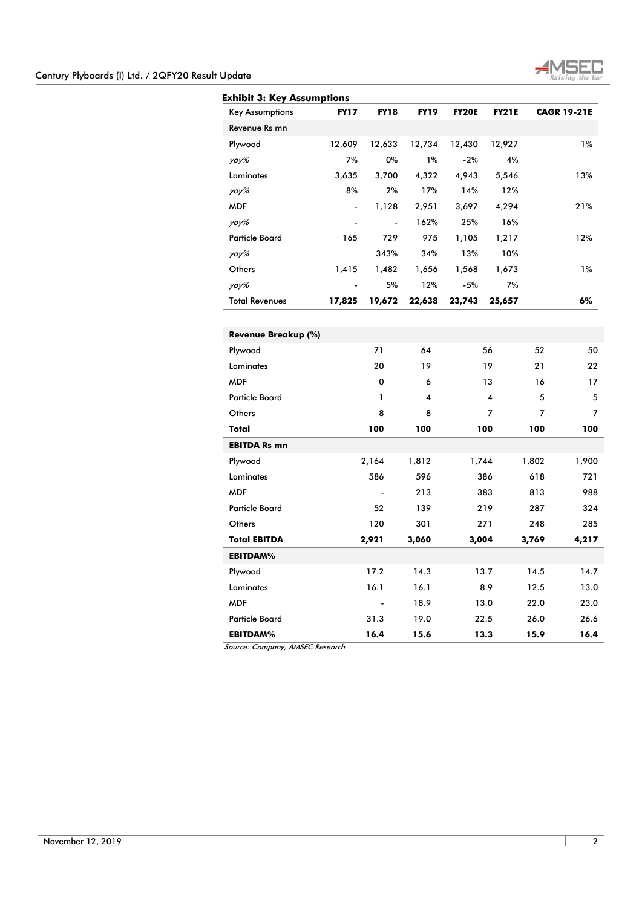

| <b>Key Assumptions</b> | <b>FY17</b>              | <b>FY18</b>    | <b>FY19</b> | <b>FY20E</b> | <b>FY21E</b> |       | <b>CAGR 19-21E</b> |
|------------------------|--------------------------|----------------|-------------|--------------|--------------|-------|--------------------|
| Revenue Rs mn          |                          |                |             |              |              |       |                    |
| Plywood                | 12,609                   | 12,633         | 12,734      | 12,430       | 12,927       |       | 1%                 |
| yoy%                   | 7%                       | 0%             | 1%          | $-2%$        | 4%           |       |                    |
| Laminates              | 3,635                    | 3,700          | 4,322       | 4,943        | 5,546        |       | 13%                |
| yoy%                   | 8%                       | 2%             | 17%         | 14%          | 12%          |       |                    |
| <b>MDF</b>             | $\overline{a}$           | 1,128          | 2,951       | 3,697        | 4,294        |       | 21%                |
| yoy%                   |                          |                | 162%        | 25%          | 16%          |       |                    |
| <b>Particle Board</b>  | 165                      | 729            | 975         | 1,105        | 1,217        |       | 12%                |
| yoy%                   |                          | 343%           | 34%         | 13%          | 10%          |       |                    |
| Others                 | 1,415                    | 1,482          | 1,656       | 1,568        | 1,673        |       | 1%                 |
| yoy%                   | $\overline{\phantom{a}}$ | 5%             | 12%         | $-5%$        | 7%           |       |                    |
| <b>Total Revenues</b>  | 17,825                   | 19,672         | 22,638      | 23,743       | 25,657       |       | 6%                 |
| Revenue Breakup (%)    |                          |                |             |              |              |       |                    |
| Plywood                |                          | 71             | 64          |              | 56           | 52    | 50                 |
| Laminates              |                          | 20             | 19          |              | 19           | 21    | 22                 |
| <b>MDF</b>             |                          | $\mathbf 0$    | 6           |              | 13           | 16    | 17                 |
| <b>Particle Board</b>  |                          | 1              | 4           |              | 4            | 5     | 5                  |
| Others                 |                          | 8              | 8           |              | 7            | 7     | 7                  |
| Total                  |                          | 100            | 100         |              | 100          | 100   | 100                |
| <b>EBITDA Rs mn</b>    |                          |                |             |              |              |       |                    |
| Plywood                |                          | 2,164          | 1,812       | 1,744        |              | 1,802 | 1,900              |
| Laminates              |                          | 586            | 596         |              | 386          | 618   | 721                |
| <b>MDF</b>             |                          |                | 213         |              | 383          | 813   | 988                |
| <b>Particle Board</b>  |                          | 52             | 139         |              | 219          | 287   | 324                |
| Others                 |                          | 120            | 301         |              | 271          | 248   | 285                |
| <b>Total EBITDA</b>    |                          | 2,921          | 3,060       | 3,004        |              | 3,769 | 4,217              |
| <b>EBITDAM%</b>        |                          |                |             |              |              |       |                    |
| Plywood                |                          | 17.2           | 14.3        |              | 13.7         | 14.5  | 14.7               |
| Laminates              |                          | 16.1           | 16.1        |              | 8.9          | 12.5  | 13.0               |
| <b>MDF</b>             |                          | $\overline{a}$ | 18.9        |              | 13.0         | 22.0  | 23.0               |
| <b>Particle Board</b>  |                          | 31.3           | 19.0        |              | 22.5         | 26.0  | 26.6               |
| <b>EBITDAM%</b>        |                          | 16.4           | 15.6        |              | 13.3         | 15.9  | 16.4               |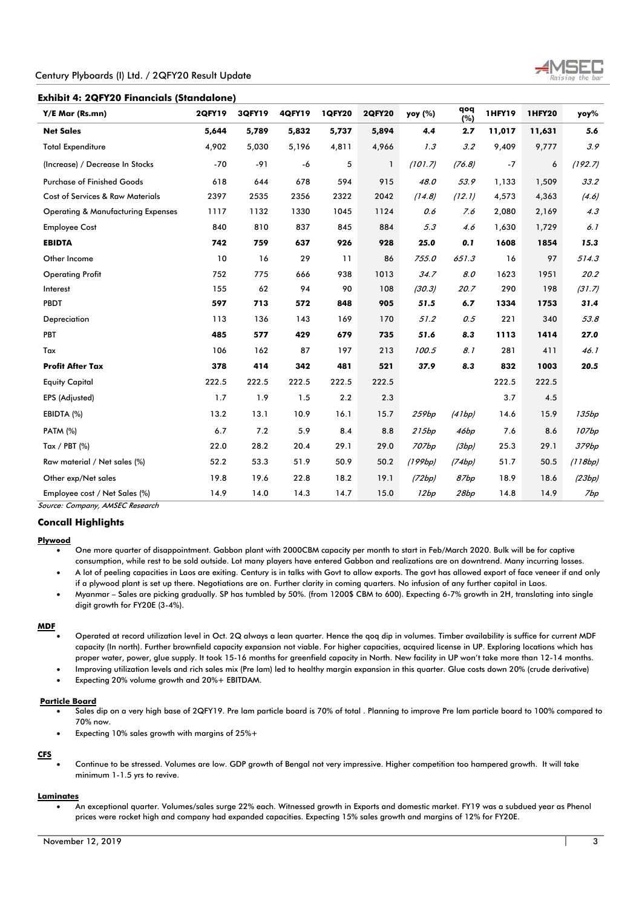# **Exhibit 4: 2QFY20 Financials (Standalone)**

| Y/E Mar (Rs.mn)                               | <b>2QFY19</b> | 3QFY19 | <b>4QFY19</b> | <b>1QFY20</b> | <b>2QFY20</b> | yoy (%) | qoq<br>(%) | <b>1HFY19</b> | <b>1HFY20</b> | yoy%    |
|-----------------------------------------------|---------------|--------|---------------|---------------|---------------|---------|------------|---------------|---------------|---------|
| <b>Net Sales</b>                              | 5,644         | 5,789  | 5,832         | 5,737         | 5,894         | 4.4     | 2.7        | 11,017        | 11,631        | 5.6     |
| <b>Total Expenditure</b>                      | 4,902         | 5,030  | 5,196         | 4,811         | 4,966         | 1.3     | 3.2        | 9,409         | 9,777         | 3.9     |
| (Increase) / Decrease In Stocks               | $-70$         | $-91$  | -6            | 5             | 1             | (101.7) | (76.8)     | $-7$          | 6             | (192.7) |
| <b>Purchase of Finished Goods</b>             | 618           | 644    | 678           | 594           | 915           | 48.0    | 53.9       | 1,133         | 1,509         | 33.2    |
| <b>Cost of Services &amp; Raw Materials</b>   | 2397          | 2535   | 2356          | 2322          | 2042          | (14.8)  | (12.1)     | 4,573         | 4,363         | (4.6)   |
| <b>Operating &amp; Manufacturing Expenses</b> | 1117          | 1132   | 1330          | 1045          | 1124          | 0.6     | 7.6        | 2,080         | 2,169         | 4.3     |
| <b>Employee Cost</b>                          | 840           | 810    | 837           | 845           | 884           | 5.3     | 4.6        | 1,630         | 1,729         | 6.1     |
| <b>EBIDTA</b>                                 | 742           | 759    | 637           | 926           | 928           | 25.0    | 0.1        | 1608          | 1854          | 15.3    |
| Other Income                                  | 10            | 16     | 29            | 11            | 86            | 755.0   | 651.3      | 16            | 97            | 514.3   |
| <b>Operating Profit</b>                       | 752           | 775    | 666           | 938           | 1013          | 34.7    | 8.0        | 1623          | 1951          | 20.2    |
| Interest                                      | 155           | 62     | 94            | 90            | 108           | (30.3)  | 20.7       | 290           | 198           | (31.7)  |
| PBDT                                          | 597           | 713    | 572           | 848           | 905           | 51.5    | 6.7        | 1334          | 1753          | 31.4    |
| Depreciation                                  | 113           | 136    | 143           | 169           | 170           | 51.2    | 0.5        | 221           | 340           | 53.8    |
| PBT                                           | 485           | 577    | 429           | 679           | 735           | 51.6    | 8.3        | 1113          | 1414          | 27.0    |
| Tax                                           | 106           | 162    | 87            | 197           | 213           | 100.5   | 8.1        | 281           | 411           | 46.1    |
| <b>Profit After Tax</b>                       | 378           | 414    | 342           | 481           | 521           | 37.9    | 8.3        | 832           | 1003          | 20.5    |
| <b>Equity Capital</b>                         | 222.5         | 222.5  | 222.5         | 222.5         | 222.5         |         |            | 222.5         | 222.5         |         |
| EPS (Adjusted)                                | 1.7           | 1.9    | 1.5           | 2.2           | 2.3           |         |            | 3.7           | 4.5           |         |
| EBIDTA (%)                                    | 13.2          | 13.1   | 10.9          | 16.1          | 15.7          | 259bp   | (41bp)     | 14.6          | 15.9          | 135bp   |
| <b>PATM (%)</b>                               | 6.7           | 7.2    | 5.9           | 8.4           | 8.8           | 215bp   | 46bp       | 7.6           | 8.6           | 107bp   |
| Tax / PBT (%)                                 | 22.0          | 28.2   | 20.4          | 29.1          | 29.0          | 707bp   | (3bp)      | 25.3          | 29.1          | 379bp   |
| Raw material / Net sales (%)                  | 52.2          | 53.3   | 51.9          | 50.9          | 50.2          | (199bp) | (74bp)     | 51.7          | 50.5          | (118bp) |
| Other exp/Net sales                           | 19.8          | 19.6   | 22.8          | 18.2          | 19.1          | (72bp)  | 87bp       | 18.9          | 18.6          | (23bp)  |
| Employee cost / Net Sales (%)                 | 14.9          | 14.0   | 14.3          | 14.7          | 15.0          | 12bp    | 28bp       | 14.8          | 14.9          | 7bp     |

Source: Company, AMSEC Research

## **Concall Highlights**

## **Plywood**

 One more quarter of disappointment. Gabbon plant with 2000CBM capacity per month to start in Feb/March 2020. Bulk will be for captive consumption, while rest to be sold outside. Lot many players have entered Gabbon and realizations are on downtrend. Many incurring losses.

 A lot of peeling capacities in Laos are exiting. Century is in talks with Govt to allow exports. The govt has allowed export of face veneer if and only if a plywood plant is set up there. Negotiations are on. Further clarity in coming quarters. No infusion of any further capital in Laos.

 Myanmar – Sales are picking gradually. SP has tumbled by 50%. (from 1200\$ CBM to 600). Expecting 6-7% growth in 2H, translating into single digit growth for FY20E (3-4%).

#### **MDF**

 Operated at record utilization level in Oct. 2Q always a lean quarter. Hence the qoq dip in volumes. Timber availability is suffice for current MDF capacity (In north). Further brownfield capacity expansion not viable. For higher capacities, acquired license in UP. Exploring locations which has proper water, power, glue supply. It took 15-16 months for greenfield capacity in North. New facility in UP won't take more than 12-14 months.

Improving utilization levels and rich sales mix (Pre lam) led to healthy margin expansion in this quarter. Glue costs down 20% (crude derivative)

Expecting 20% volume growth and 20%+ EBITDAM.

#### **Particle Board**

- Sales dip on a very high base of 2QFY19. Pre lam particle board is 70% of total . Planning to improve Pre lam particle board to 100% compared to 70% now.
- Expecting 10% sales growth with margins of 25%+

# **CFS**

 Continue to be stressed. Volumes are low. GDP growth of Bengal not very impressive. Higher competition too hampered growth. It will take minimum 1-1.5 yrs to revive.

#### **Laminates**

 An exceptional quarter. Volumes/sales surge 22% each. Witnessed growth in Exports and domestic market. FY19 was a subdued year as Phenol prices were rocket high and company had expanded capacities. Expecting 15% sales growth and margins of 12% for FY20E.

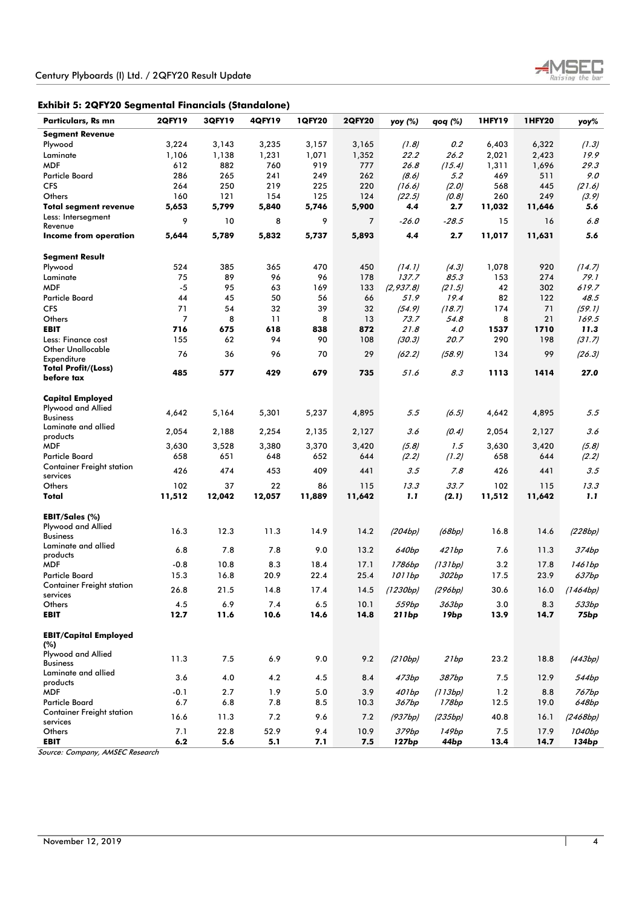

| Particulars, Rs mn               | <b>2QFY19</b> | 3QFY19 | <b>4QFY19</b> | <b>1QFY20</b> | <b>2QFY20</b> | yoy (%)           | qoq (%)          | <b>1HFY19</b> | <b>1HFY20</b> | yoy%             |
|----------------------------------|---------------|--------|---------------|---------------|---------------|-------------------|------------------|---------------|---------------|------------------|
| <b>Segment Revenue</b>           |               |        |               |               |               |                   |                  |               |               |                  |
| Plywood                          | 3,224         | 3,143  | 3,235         | 3,157         | 3,165         | (1.8)             | 0.2              | 6,403         | 6,322         | (1.3)            |
| Laminate                         | 1,106         | 1,138  | 1,231         | 1,071         | 1,352         | 22.2              | 26.2             | 2,021         | 2,423         | 19.9             |
| <b>MDF</b>                       | 612           | 882    | 760           | 919           | 777           | 26.8              | (15.4)           | 1,311         | 1,696         | 29.3             |
| <b>Particle Board</b>            | 286           | 265    | 241           | 249           | 262           | (8.6)             | 5.2              | 469           | 511           | 9.0              |
| <b>CFS</b>                       | 264           | 250    | 219           | 225           | 220           | (16.6)            | (2.0)            | 568           | 445           | (21.6)           |
| Others                           | 160           | 121    | 154           | 125           | 124           | (22.5)            | (0.8)            | 260           | 249           | (3.9)            |
| <b>Total segment revenue</b>     | 5,653         | 5,799  | 5,840         | 5,746         | 5,900         | 4.4               | 2.7              | 11,032        | 11,646        | 5.6              |
| Less: Intersegment               |               |        |               |               |               |                   |                  |               |               |                  |
| Revenue                          | 9             | 10     | 8             | 9             | 7             | -26.0             | $-28.5$          | 15            | 16            | 6.8              |
| Income from operation            | 5,644         | 5,789  | 5,832         | 5,737         | 5,893         | 4.4               | 2.7              | 11,017        | 11,631        | 5.6              |
|                                  |               |        |               |               |               |                   |                  |               |               |                  |
| <b>Segment Result</b>            |               |        |               |               |               |                   |                  |               |               |                  |
| Plywood                          | 524           | 385    | 365           | 470           | 450           | (14.1)            | (4.3)            | 1,078         | 920           | (14.7)           |
| Laminate                         | 75            | 89     | 96            | 96            | 178           | 137.7             | 85.3             | 153           | 274           | 79.1             |
| <b>MDF</b>                       | $-5$          | 95     | 63            | 169           | 133           | (2, 937.8)        | (21.5)           | 42            | 302           | 619.7            |
| <b>Particle Board</b>            | 44            | 45     | 50            | 56            | 66            | 51.9              | 19.4             | 82            | 122           | 48.5             |
| <b>CFS</b>                       | 71            | 54     | 32            | 39            | 32            | (54.9)            | (18.7)           | 174           | 71            | (59.1)           |
| Others                           | 7             | 8      | 11            | 8             | 13            | 73.7              | 54.8             | 8             | 21            | 169.5            |
| <b>EBIT</b>                      | 716           | 675    | 618           | 838           | 872           | 21.8              | 4.0              | 1537          | 1710          | 11.3             |
| Less: Finance cost               | 155           | 62     | 94            | 90            | 108           | (30.3)            | 20.7             | 290           | 198           | (31.7)           |
| <b>Other Unallocable</b>         |               |        |               |               |               |                   |                  |               |               |                  |
| Expenditure                      | 76            | 36     | 96            | 70            | 29            | (62.2)            | (58.9)           | 134           | 99            | (26.3)           |
| <b>Total Profit/(Loss)</b>       | 485           | 577    | 429           | 679           | 735           | 51.6              | 8.3              | 1113          | 1414          | 27.0             |
| before tax                       |               |        |               |               |               |                   |                  |               |               |                  |
|                                  |               |        |               |               |               |                   |                  |               |               |                  |
| Capital Employed                 |               |        |               |               |               |                   |                  |               |               |                  |
| Plywood and Allied               | 4,642         | 5,164  | 5,301         | 5,237         | 4,895         | 5.5               | (6.5)            | 4,642         | 4,895         | 5.5              |
| <b>Business</b>                  |               |        |               |               |               |                   |                  |               |               |                  |
| Laminate and allied              | 2,054         | 2,188  | 2,254         | 2,135         | 2,127         | 3.6               | (0.4)            | 2,054         | 2,127         | 3.6              |
| products<br>MDF                  | 3,630         | 3,528  | 3,380         | 3,370         | 3,420         | (5.8)             | 1.5              | 3,630         | 3,420         | (5.8)            |
| <b>Particle Board</b>            | 658           | 651    | 648           | 652           | 644           | (2.2)             | (1.2)            | 658           | 644           | (2.2)            |
| <b>Container Freight station</b> |               |        |               |               |               |                   |                  |               |               |                  |
| services                         | 426           | 474    | 453           | 409           | 441           | 3.5               | 7.8              | 426           | 441           | 3.5              |
| Others                           | 102           | 37     | 22            | 86            | 115           | 13.3              | 33.7             | 102           | 115           | 13.3             |
| Total                            | 11,512        | 12,042 | 12,057        | 11,889        | 11,642        | 1.1               | (2.1)            | 11,512        | 11,642        | 1.1              |
|                                  |               |        |               |               |               |                   |                  |               |               |                  |
| EBIT/Sales (%)                   |               |        |               |               |               |                   |                  |               |               |                  |
| Plywood and Allied               |               |        |               |               |               |                   |                  |               |               |                  |
| <b>Business</b>                  | 16.3          | 12.3   | 11.3          | 14.9          | 14.2          | (204bp)           | (68bp)           | 16.8          | 14.6          | (228bp)          |
| Laminate and allied              | 6.8           | 7.8    | 7.8           | 9.0           | 13.2          | 640bp             | 421bp            | 7.6           | 11.3          | 374bp            |
| products                         |               |        |               |               |               |                   |                  |               |               |                  |
| <b>MDF</b>                       | $-0.8$        | 10.8   | 8.3           | 18.4          | 17.1          | 1786bp            | (131bp)          | 3.2           | 17.8          | 1461bp           |
| <b>Particle Board</b>            | 15.3          | 16.8   | 20.9          | 22.4          | 25.4          | 1011bp            | 302bp            | 17.5          | 23.9          | 637bp            |
| <b>Container Freight station</b> | 26.8          | 21.5   | 14.8          | 17.4          | 14.5          | (1230bp)          | (296bp)          | 30.6          | 16.0          | (1464bp)         |
| services                         |               |        |               |               |               |                   |                  |               |               |                  |
| Others                           | 4.5           | 6.9    | 7.4           | 6.5           | 10.1          | 559bp             | 363bp            | 3.0           | 8.3           | 533bp            |
| <b>EBIT</b>                      | 12.7          | 11.6   | 10.6          | 14.6          | 14.8          | 211bp             | 19 <sub>bp</sub> | 13.9          | 14.7          | 75 <sub>bp</sub> |
| <b>EBIT/Capital Employed</b>     |               |        |               |               |               |                   |                  |               |               |                  |
| (%)                              |               |        |               |               |               |                   |                  |               |               |                  |
| Plywood and Allied               |               |        |               |               |               |                   |                  |               |               |                  |
| <b>Business</b>                  | 11.3          | 7.5    | 6.9           | 9.0           | 9.2           | (210bp)           | 21bp             | 23.2          | 18.8          | (443bp)          |
| Laminate and allied              |               |        |               |               |               |                   |                  |               |               |                  |
| products                         | 3.6           | 4.0    | 4.2           | 4.5           | 8.4           | 473bp             | 387bp            | 7.5           | 12.9          | 544bp            |
| <b>MDF</b>                       | -0.1          | 2.7    | 1.9           | 5.0           | 3.9           | 401bp             | (113bp)          | 1.2           | 8.8           | 767bp            |
| Particle Board                   | 6.7           | 6.8    | 7.8           | 8.5           | 10.3          | 367bp             | 178bp            | 12.5          | 19.0          | 648bp            |
| <b>Container Freight station</b> |               |        |               |               |               |                   |                  |               |               |                  |
| services                         | 16.6          | 11.3   | 7.2           | 9.6           | 7.2           | (937bp)           | (235bp)          | 40.8          | 16.1          | (2468bp)         |
| Others                           | 7.1           | 22.8   | 52.9          | 9.4           | 10.9          | 379Ьр             | 149bp            | 7.5           | 17.9          | 1040bp           |
| <b>EBIT</b>                      | 6.2           | 5.6    | 5.1           | 7.1           | 7.5           | 127 <sub>bp</sub> | 44bp             | 13.4          | 14.7          | 134bp            |
| Course Company AMSEC Possersh    |               |        |               |               |               |                   |                  |               |               |                  |

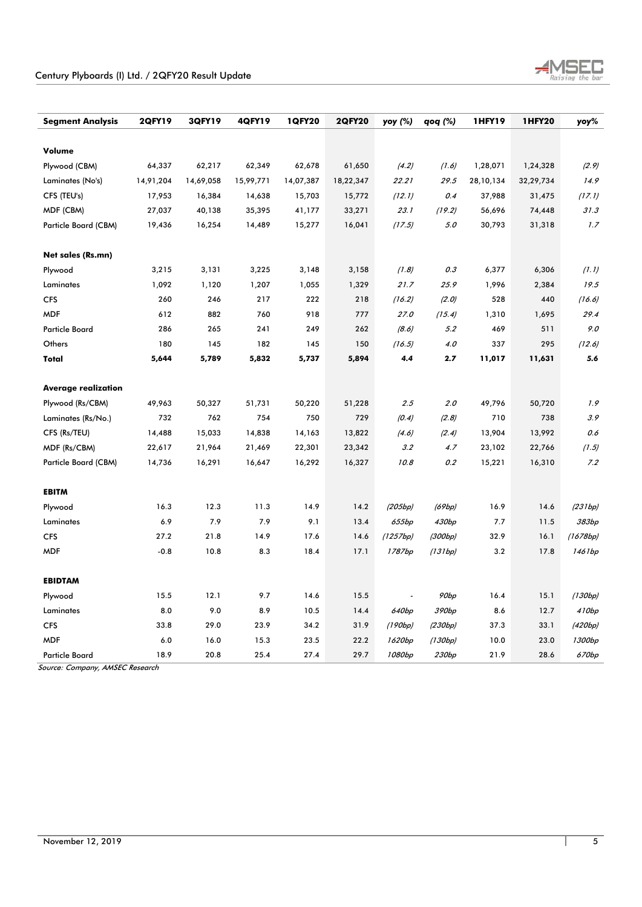

| <b>Segment Analysis</b>    | <b>2QFY19</b> | 3QFY19    | <b>4QFY19</b> | <b>1QFY20</b> | <b>2QFY20</b> | yoy (%)  | qoq (%) | 1HFY19    | <b>1HFY20</b> | yoy%     |
|----------------------------|---------------|-----------|---------------|---------------|---------------|----------|---------|-----------|---------------|----------|
|                            |               |           |               |               |               |          |         |           |               |          |
| Volume                     |               |           |               |               |               |          |         |           |               |          |
| Plywood (CBM)              | 64,337        | 62,217    | 62,349        | 62,678        | 61,650        | (4.2)    | (1.6)   | 1,28,071  | 1,24,328      | (2.9)    |
| Laminates (No's)           | 14,91,204     | 14,69,058 | 15,99,771     | 14,07,387     | 18,22,347     | 22.21    | 29.5    | 28,10,134 | 32,29,734     | 14.9     |
| CFS (TEU's)                | 17,953        | 16,384    | 14,638        | 15,703        | 15,772        | (12.1)   | 0.4     | 37,988    | 31,475        | (17.1)   |
| MDF (CBM)                  | 27,037        | 40,138    | 35,395        | 41,177        | 33,271        | 23.1     | (19.2)  | 56,696    | 74,448        | 31.3     |
| Particle Board (CBM)       | 19,436        | 16,254    | 14,489        | 15,277        | 16,041        | (17.5)   | 5.0     | 30,793    | 31,318        | 1.7      |
|                            |               |           |               |               |               |          |         |           |               |          |
| Net sales (Rs.mn)          |               |           |               |               |               |          |         |           |               |          |
| Plywood                    | 3,215         | 3,131     | 3,225         | 3,148         | 3,158         | (1.8)    | 0.3     | 6,377     | 6,306         | (1.1)    |
| Laminates                  | 1,092         | 1,120     | 1,207         | 1,055         | 1,329         | 21.7     | 25.9    | 1,996     | 2,384         | 19.5     |
| <b>CFS</b>                 | 260           | 246       | 217           | 222           | 218           | (16.2)   | (2.0)   | 528       | 440           | (16.6)   |
| <b>MDF</b>                 | 612           | 882       | 760           | 918           | 777           | 27.0     | (15.4)  | 1,310     | 1,695         | 29.4     |
| <b>Particle Board</b>      | 286           | 265       | 241           | 249           | 262           | (8.6)    | 5.2     | 469       | 511           | 9.0      |
| Others                     | 180           | 145       | 182           | 145           | 150           | (16.5)   | 4.0     | 337       | 295           | (12.6)   |
| Total                      | 5,644         | 5,789     | 5,832         | 5,737         | 5,894         | 4.4      | 2.7     | 11,017    | 11,631        | 5.6      |
|                            |               |           |               |               |               |          |         |           |               |          |
| <b>Average realization</b> |               |           |               |               |               |          |         |           |               |          |
| Plywood (Rs/CBM)           | 49,963        | 50,327    | 51,731        | 50,220        | 51,228        | 2.5      | 2.0     | 49,796    | 50,720        | 1.9      |
| Laminates (Rs/No.)         | 732           | 762       | 754           | 750           | 729           | (0.4)    | (2.8)   | 710       | 738           | 3.9      |
| CFS (Rs/TEU)               | 14,488        | 15,033    | 14,838        | 14,163        | 13,822        | (4.6)    | (2.4)   | 13,904    | 13,992        | 0.6      |
| MDF (Rs/CBM)               | 22,617        | 21,964    | 21,469        | 22,301        | 23,342        | 3.2      | 4.7     | 23,102    | 22,766        | (1.5)    |
| Particle Board (CBM)       | 14,736        | 16,291    | 16,647        | 16,292        | 16,327        | 10.8     | 0.2     | 15,221    | 16,310        | 7.2      |
|                            |               |           |               |               |               |          |         |           |               |          |
| <b>EBITM</b>               |               |           |               |               |               |          |         |           |               |          |
| Plywood                    | 16.3          | 12.3      | 11.3          | 14.9          | 14.2          | (205bp)  | (69bp)  | 16.9      | 14.6          | (231bp)  |
| Laminates                  | 6.9           | 7.9       | 7.9           | 9.1           | 13.4          | 655bp    | 430bp   | 7.7       | 11.5          | 383bp    |
| <b>CFS</b>                 | 27.2          | 21.8      | 14.9          | 17.6          | 14.6          | (1257bp) | (300bp) | 32.9      | 16.1          | (1678bp) |
| <b>MDF</b>                 | $-0.8$        | 10.8      | 8.3           | 18.4          | 17.1          | 1787bp   | (131bp) | 3.2       | 17.8          | 1461bp   |
|                            |               |           |               |               |               |          |         |           |               |          |
| <b>EBIDTAM</b>             |               |           |               |               |               |          |         |           |               |          |
| Plywood                    | 15.5          | 12.1      | 9.7           | 14.6          | 15.5          |          | 90bp    | 16.4      | 15.1          | (130bp)  |
| Laminates                  | 8.0           | 9.0       | 8.9           | 10.5          | 14.4          | 640bp    | 390bp   | 8.6       | 12.7          | 410bp    |
| <b>CFS</b>                 | 33.8          | 29.0      | 23.9          | 34.2          | 31.9          | (190bp)  | (230bp) | 37.3      | 33.1          | (420bp)  |
| <b>MDF</b>                 | 6.0           | 16.0      | 15.3          | 23.5          | 22.2          | 1620bp   | (130bp) | 10.0      | 23.0          | 1300bp   |
| <b>Particle Board</b>      | 18.9          | 20.8      | 25.4          | 27.4          | 29.7          | 1080bp   | 230bp   | 21.9      | 28.6          | 670bp    |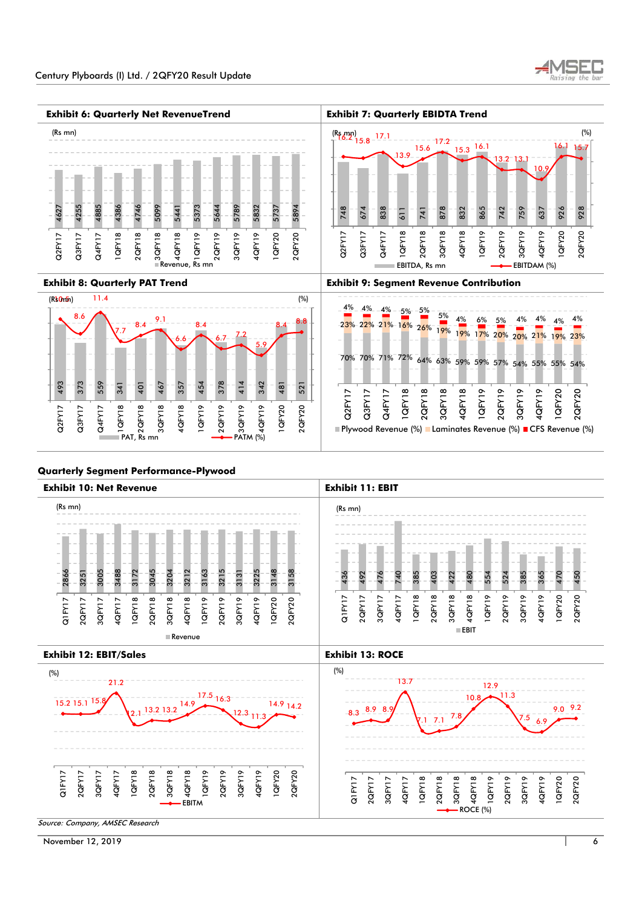





# **Quarterly Segment Performance-Plywood**



November 12, 2019 6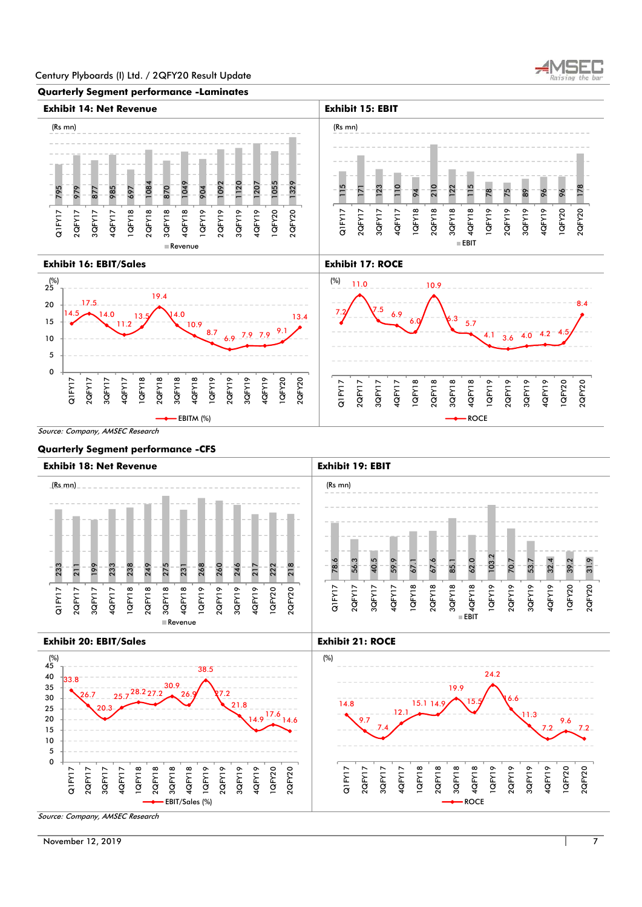

#### **Quarterly Segment performance -Laminates**



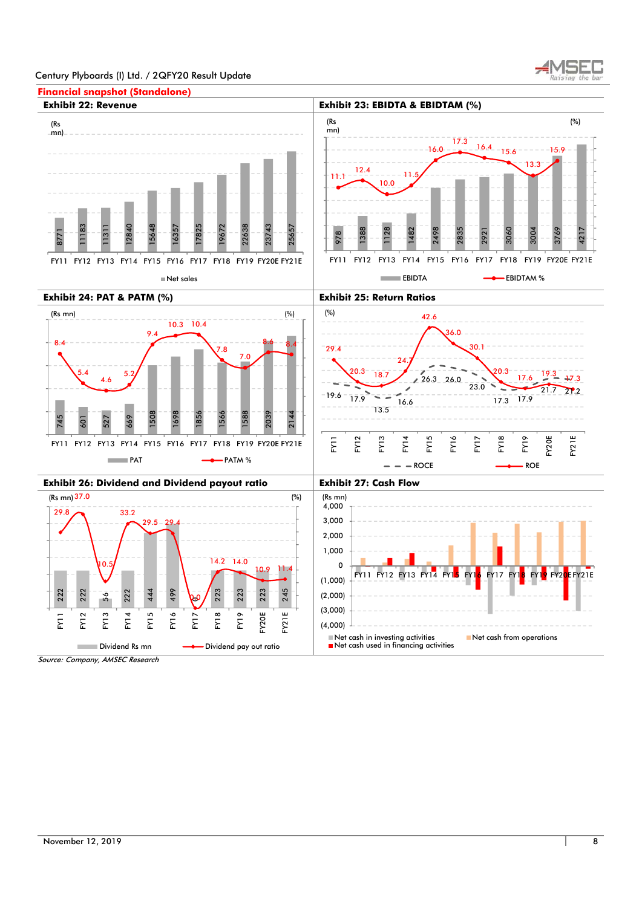

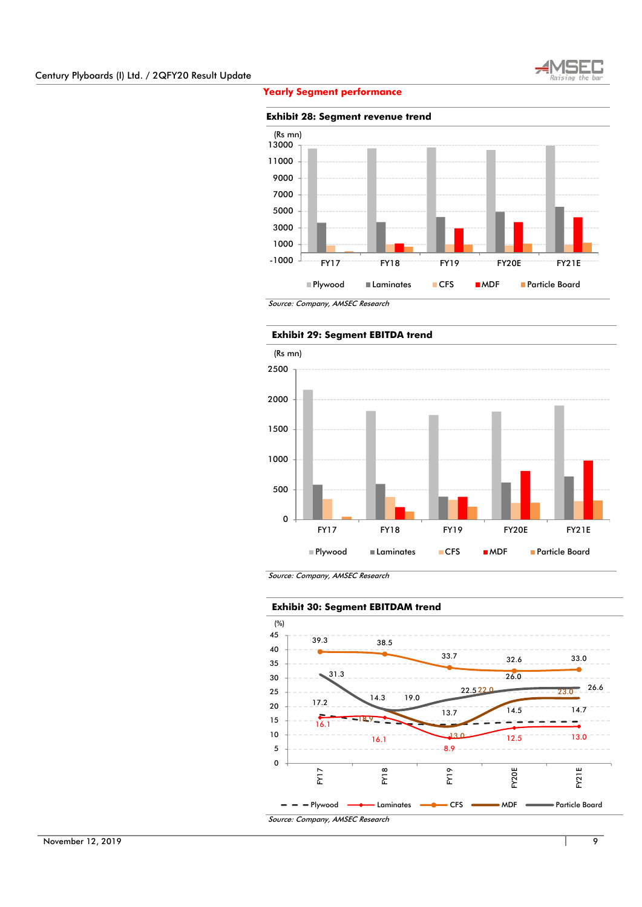

# **Yearly Segment performance**

#### **Exhibit 28: Segment revenue trend**



Source: Company, AMSEC Research



Source: Company, AMSEC Research



November 12, 2019 **9**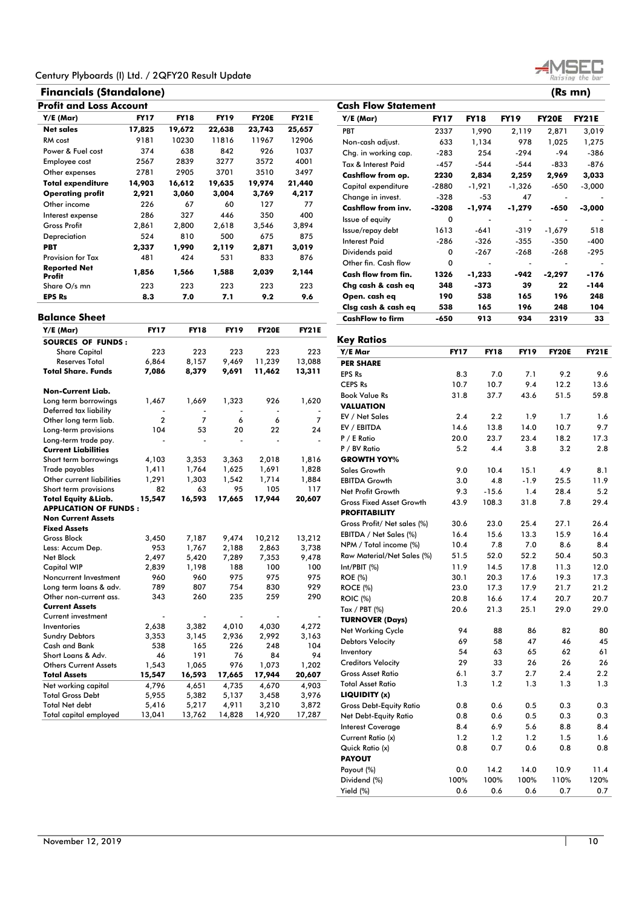# **Financials (Standalone) (Rs mn)**

**Balance Sheet** 

|                               | <b>Profit and Loss Account</b> |        |             |              |              |  |  |  |  |  |  |
|-------------------------------|--------------------------------|--------|-------------|--------------|--------------|--|--|--|--|--|--|
| Y/E (Mar)                     | <b>FY17</b>                    | FY18   | <b>FY19</b> | <b>FY20E</b> | <b>FY21E</b> |  |  |  |  |  |  |
| Net sales                     | 17,825                         | 19,672 | 22,638      | 23,743       | 25,657       |  |  |  |  |  |  |
| RM cost                       | 9181                           | 10230  | 11816       | 11967        | 12906        |  |  |  |  |  |  |
| Power & Fuel cost             | 374                            | 638    | 842         | 926          | 1037         |  |  |  |  |  |  |
| Employee cost                 | 2567                           | 2839   | 3277        | 3572         | 4001         |  |  |  |  |  |  |
| Other expenses                | 2781                           | 2905   | 3701        | 3510         | 3497         |  |  |  |  |  |  |
| <b>Total expenditure</b>      | 14,903                         | 16,612 | 19,635      | 19,974       | 21,440       |  |  |  |  |  |  |
| <b>Operating profit</b>       | 2,921                          | 3,060  | 3,004       | 3,769        | 4,217        |  |  |  |  |  |  |
| Other income                  | 226                            | 67     | 60          | 127          | 77           |  |  |  |  |  |  |
| Interest expense              | 286                            | 327    | 446         | 350          | 400          |  |  |  |  |  |  |
| <b>Gross Profit</b>           | 2,861                          | 2,800  | 2,618       | 3,546        | 3,894        |  |  |  |  |  |  |
| Depreciation                  | 524                            | 810    | 500         | 675          | 875          |  |  |  |  |  |  |
| PBT                           | 2,337                          | 1,990  | 2,119       | 2,871        | 3,019        |  |  |  |  |  |  |
| <b>Provision for Tax</b>      | 481                            | 424    | 531         | 833          | 876          |  |  |  |  |  |  |
| <b>Reported Net</b><br>Profit | 1,856                          | 1,566  | 1,588       | 2,039        | 2,144        |  |  |  |  |  |  |
| Share O/s mn                  | 223                            | 223    | 223         | 223          | 223          |  |  |  |  |  |  |

| Net sales                                     | 17,825         | 19,672         | 22,638      | 23,743       | 25,657       | <b>PBT</b>                      | 2337          | 1,990         | 2,119       | 2,871        | 3,019       |
|-----------------------------------------------|----------------|----------------|-------------|--------------|--------------|---------------------------------|---------------|---------------|-------------|--------------|-------------|
| RM cost                                       | 9181           | 10230          | 11816       | 11967        | 12906        | Non-cash adjust.                | 633           | 1,134         | 978         | 1,025        | 1,275       |
| Power & Fuel cost                             | 374            | 638            | 842         | 926          | 1037         | Chg. in working cap.            | $-283$        | 254           | $-294$      | $-94$        | $-386$      |
| Employee cost                                 | 2567           | 2839           | 3277        | 3572         | 4001         | Tax & Interest Paid             | $-457$        | $-544$        | $-544$      | -833         | $-876$      |
| Other expenses                                | 2781           | 2905           | 3701        | 3510         | 3497         | <b>Cashflow from op.</b>        | 2230          | 2,834         | 2,259       | 2,969        | 3,033       |
| <b>Total expenditure</b>                      | 14,903         | 16,612         | 19,635      | 19,974       | 21,440       | Capital expenditure             | $-2880$       | $-1,921$      | $-1,326$    | -650         | $-3,000$    |
| <b>Operating profit</b>                       | 2,921          | 3,060          | 3,004       | 3,769        | 4,217        | Change in invest.               | $-328$        | $-53$         | 47          |              |             |
| Other income                                  | 226            | 67             | 60          | 127          | 77           | <b>Cashflow from inv.</b>       | $-3208$       | $-1,974$      | $-1,279$    | $-650$       | $-3,000$    |
| Interest expense                              | 286            | 327            | 446         | 350          | 400          | Issue of equity                 |               |               |             |              |             |
| <b>Gross Profit</b>                           | 2,861          | 2,800          | 2,618       | 3,546        | 3,894        |                                 | 0             |               |             |              |             |
| Depreciation                                  | 524            | 810            | 500         | 675          | 875          | Issue/repay debt                | 1613          | $-641$        | $-319$      | $-1,679$     | 518         |
| <b>PBT</b>                                    | 2,337          | 1,990          | 2,119       | 2,871        | 3,019        | <b>Interest Paid</b>            | $-286$        | -326          | $-355$      | -350         | $-400$      |
| <b>Provision for Tax</b>                      | 481            | 424            | 531         | 833          | 876          | Dividends paid                  | 0             | $-267$        | $-268$      | $-268$       | $-295$      |
| <b>Reported Net</b>                           |                |                |             |              |              | Other fin. Cash flow            | 0             |               |             |              |             |
| Profit                                        | 1,856          | 1,566          | 1,588       | 2,039        | 2,144        | Cash flow from fin.             | 1326          | $-1,233$      | $-942$      | $-2,297$     | $-176$      |
| Share O/s mn                                  | 223            | 223            | 223         | 223          | 223          | Cha cash & cash eq              | 348           | $-373$        | 39          | 22           | $-144$      |
| <b>EPS Rs</b>                                 | 8.3            | 7.0            | 7.1         | 9.2          | 9.6          | Open. cash eq                   | 190           | 538           | 165         | 196          | 248         |
|                                               |                |                |             |              |              | Clsg cash & cash eq             | 538           | 165           | 196         | 248          | 104         |
| Balance Sheet                                 |                |                |             |              |              | <b>CashFlow to firm</b>         | $-650$        | 913           | 934         | 2319         | 33          |
| $Y/E$ (Mar)                                   | <b>FY17</b>    | <b>FY18</b>    | <b>FY19</b> | <b>FY20E</b> | <b>FY21E</b> |                                 |               |               |             |              |             |
| <b>SOURCES OF FUNDS:</b>                      |                |                |             |              |              | <b>Key Ratios</b>               |               |               |             |              |             |
| <b>Share Capital</b>                          | 223            | 223            | 223         | 223          | 223          | Y/E Mar                         | <b>FY17</b>   | <b>FY18</b>   | <b>FY19</b> | <b>FY20E</b> | <b>FY21</b> |
| <b>Reserves Total</b>                         | 6,864          | 8,157          | 9,469       | 11,239       | 13,088       | <b>PER SHARE</b>                |               |               |             |              |             |
| <b>Total Share, Funds</b>                     | 7,086          | 8,379          | 9,691       | 11,462       | 13,311       | <b>EPS Rs</b>                   | 8.3           | 7.0           | 7.1         | 9.2          | 9.1         |
|                                               |                |                |             |              |              | <b>CEPS Rs</b>                  | 10.7          | 10.7          | 9.4         | 12.2         | 13.         |
| <b>Non-Current Liab.</b>                      |                |                |             |              |              | <b>Book Value Rs</b>            | 31.8          | 37.7          | 43.6        | 51.5         | 59.         |
| Long term borrowings                          | 1,467          | 1,669          | 1.323       | 926          | 1,620        | <b>VALUATION</b>                |               |               |             |              |             |
| Deferred tax liability                        | $\overline{2}$ | $\overline{7}$ |             | 6            |              | EV / Net Sales                  | 2.4           | 2.2           | 1.9         | 1.7          | 1.4         |
| Other long term liab.<br>Long-term provisions | 104            | 53             | 6<br>20     | 22           | 7<br>24      | EV / EBITDA                     | 14.6          | 13.8          | 14.0        | 10.7         | 9.          |
| Long-term trade pay.                          |                |                |             |              |              | P / E Ratio                     | 20.0          | 23.7          | 23.4        | 18.2         | 17.3        |
| <b>Current Liabilities</b>                    |                |                |             |              |              | P / BV Ratio                    | 5.2           | 4.4           | 3.8         | 3.2          | 2.3         |
| Short term borrowings                         | 4,103          | 3,353          | 3,363       | 2,018        | 1,816        | <b>GROWTH YOY%</b>              |               |               |             |              |             |
| Trade payables                                | 1,411          | 1,764          | 1,625       | 1,691        | 1,828        | <b>Sales Growth</b>             | 9.0           | 10.4          | 15.1        | 4.9          | 8.          |
| Other current liabilities                     | 1,291          | 1,303          | 1,542       | 1,714        | 1,884        | <b>EBITDA Growth</b>            | 3.0           | 4.8           | $-1.9$      | 25.5         | 11.5        |
| Short term provisions                         | 82             | 63             | 95          | 105          | 117          | Net Profit Growth               | 9.3           | $-15.6$       | 1.4         | 28.4         | 5.3         |
| <b>Total Equity &amp; Liab.</b>               | 15,547         | 16,593         | 17,665      | 17,944       | 20,607       | <b>Gross Fixed Asset Growth</b> | 43.9          | 108.3         | 31.8        | 7.8          | 29.         |
| <b>APPLICATION OF FUNDS:</b>                  |                |                |             |              |              | <b>PROFITABILITY</b>            |               |               |             |              |             |
| <b>Non Current Assets</b>                     |                |                |             |              |              |                                 | $\sim$ $\sim$ | $\sim$ $\sim$ | $-1$        | $- - -$      |             |

**Y/E (Mar) FY17 FY18 FY19 FY20E FY21E**

**Cash Flow Statement** 

| <b>Reserves Total</b>           | 6,864          | 8,157  | 9,469  | 11,239 | 13,088 |  |  |  |  |  |  |  |
|---------------------------------|----------------|--------|--------|--------|--------|--|--|--|--|--|--|--|
| <b>Total Share, Funds</b>       | 7,086          | 8,379  | 9,691  | 11,462 | 13,311 |  |  |  |  |  |  |  |
|                                 |                |        |        |        |        |  |  |  |  |  |  |  |
| Non-Current Liab.               |                |        |        |        |        |  |  |  |  |  |  |  |
| Long term borrowings            | 1,467          | 1,669  | 1,323  | 926    | 1,620  |  |  |  |  |  |  |  |
| Deferred tax liability          |                |        |        |        |        |  |  |  |  |  |  |  |
| Other long term liab.           | $\overline{2}$ | 7      | 6      | 6      | 7      |  |  |  |  |  |  |  |
| Long-term provisions            | 104            | 53     | 20     | 22     | 24     |  |  |  |  |  |  |  |
| Long-term trade pay.            |                |        |        |        |        |  |  |  |  |  |  |  |
| <b>Current Liabilities</b>      |                |        |        |        |        |  |  |  |  |  |  |  |
| Short term borrowings           | 4,103          | 3,353  | 3,363  | 2,018  | 1,816  |  |  |  |  |  |  |  |
| Trade payables                  | 1,411          | 1,764  | 1,625  | 1,691  | 1,828  |  |  |  |  |  |  |  |
| Other current liabilities       | 1,291          | 1,303  | 1,542  | 1,714  | 1,884  |  |  |  |  |  |  |  |
| Short term provisions           | 82             | 63     | 95     | 105    | 117    |  |  |  |  |  |  |  |
| <b>Total Equity &amp; Liab.</b> | 15,547         | 16,593 | 17,665 | 17,944 | 20,607 |  |  |  |  |  |  |  |
| <b>APPLICATION OF FUNDS:</b>    |                |        |        |        |        |  |  |  |  |  |  |  |
| <b>Non Current Assets</b>       |                |        |        |        |        |  |  |  |  |  |  |  |
| <b>Fixed Assets</b>             |                |        |        |        |        |  |  |  |  |  |  |  |
| <b>Gross Block</b>              | 3,450          | 7,187  | 9,474  | 10,212 | 13,212 |  |  |  |  |  |  |  |
| Less: Accum Dep.                | 953            | 1,767  | 2,188  | 2,863  | 3,738  |  |  |  |  |  |  |  |
| Net Block                       | 2,497          | 5,420  | 7,289  | 7,353  | 9,478  |  |  |  |  |  |  |  |
| <b>Capital WIP</b>              | 2,839          | 1,198  | 188    | 100    | 100    |  |  |  |  |  |  |  |
| Noncurrent Investment           | 960            | 960    | 975    | 975    | 975    |  |  |  |  |  |  |  |
| Long term loans & adv.          | 789            | 807    | 754    | 830    | 929    |  |  |  |  |  |  |  |
| Other non-current ass.          | 343            | 260    | 235    | 259    | 290    |  |  |  |  |  |  |  |
| <b>Current Assets</b>           |                |        |        |        |        |  |  |  |  |  |  |  |
| Current investment              |                |        |        |        |        |  |  |  |  |  |  |  |
| Inventories                     | 2,638          | 3,382  | 4,010  | 4,030  | 4,272  |  |  |  |  |  |  |  |
| <b>Sundry Debtors</b>           | 3,353          | 3,145  | 2,936  | 2,992  | 3,163  |  |  |  |  |  |  |  |
| Cash and Bank                   | 538            | 165    | 226    | 248    | 104    |  |  |  |  |  |  |  |
| Short Loans & Adv.              | 46             | 191    | 76     | 84     | 94     |  |  |  |  |  |  |  |
| <b>Others Current Assets</b>    | 1,543          | 1,065  | 976    | 1,073  | 1,202  |  |  |  |  |  |  |  |
| <b>Total Assets</b>             | 15,547         | 16,593 | 17,665 | 17,944 | 20,607 |  |  |  |  |  |  |  |
| Net working capital             | 4,796          | 4,651  | 4,735  | 4,670  | 4,903  |  |  |  |  |  |  |  |
| <b>Total Gross Debt</b>         | 5,955          | 5,382  | 5,137  | 3,458  | 3,976  |  |  |  |  |  |  |  |
| <b>Total Net debt</b>           | 5,416          | 5,217  | 4,911  | 3,210  | 3,872  |  |  |  |  |  |  |  |
| <b>Total capital employed</b>   | 13,041         | 13,762 | 14,828 | 14,920 | 17,287 |  |  |  |  |  |  |  |

| vey kanos                       |             |             |             |              |              |
|---------------------------------|-------------|-------------|-------------|--------------|--------------|
| Y/E Mar                         | <b>FY17</b> | <b>FY18</b> | <b>FY19</b> | <b>FY20E</b> | <b>FY21E</b> |
| <b>PER SHARE</b>                |             |             |             |              |              |
| <b>EPS Rs</b>                   | 8.3         | 7.0         | 7.1         | 9.2          | 9.6          |
| <b>CEPS Rs</b>                  | 10.7        | 10.7        | 9.4         | 12.2         | 13.6         |
| <b>Book Value Rs</b>            | 31.8        | 37.7        | 43.6        | 51.5         | 59.8         |
| <b>VALUATION</b>                |             |             |             |              |              |
| EV / Net Sales                  | 2.4         | 2.2         | 1.9         | 1.7          | 1.6          |
| EV / EBITDA                     | 14.6        | 13.8        | 14.0        | 10.7         | 9.7          |
| P / E Ratio                     | 20.0        | 23.7        | 23.4        | 18.2         | 17.3         |
| P / BV Ratio                    | 5.2         | 4.4         | 3.8         | 3.2          | 2.8          |
| <b>GROWTH YOY%</b>              |             |             |             |              |              |
| Sales Growth                    | 9.0         | 10.4        | 15.1        | 4.9          | 8.1          |
| <b>EBITDA Growth</b>            | 3.0         | 4.8         | $-1.9$      | 25.5         | 11.9         |
| Net Profit Growth               | 9.3         | $-15.6$     | 1.4         | 28.4         | 5.2          |
| <b>Gross Fixed Asset Growth</b> | 43.9        | 108.3       | 31.8        | 7.8          | 29.4         |
| <b>PROFITABILITY</b>            |             |             |             |              |              |
| Gross Profit/ Net sales (%)     | 30.6        | 23.0        | 25.4        | 27.1         | 26.4         |
| EBITDA / Net Sales (%)          | 16.4        | 15.6        | 13.3        | 15.9         | 16.4         |
| NPM / Total income (%)          | 10.4        | 7.8         | 7.0         | 8.6          | 8.4          |
| Raw Material/Net Sales (%)      | 51.5        | 52.0        | 52.2        | 50.4         | 50.3         |
| Int/PBIT (%)                    | 11.9        | 14.5        | 17.8        | 11.3         | 12.0         |
| <b>ROE</b> (%)                  | 30.1        | 20.3        | 17.6        | 19.3         | 17.3         |
| <b>ROCE (%)</b>                 | 23.0        | 17.3        | 17.9        | 21.7         | 21.2         |
| <b>ROIC</b> (%)                 | 20.8        | 16.6        | 17.4        | 20.7         | 20.7         |
| Tax / PBT $(\%)$                | 20.6        | 21.3        | 25.1        | 29.0         | 29.0         |
| <b>TURNOVER (Days)</b>          |             |             |             |              |              |
| <b>Net Working Cycle</b>        | 94          | 88          | 86          | 82           | 80           |
| <b>Debtors Velocity</b>         | 69          | 58          | 47          | 46           | 45           |
| Inventory                       | 54          | 63          | 65          | 62           | 61           |
| <b>Creditors Velocity</b>       | 29          | 33          | 26          | 26           | 26           |
| <b>Gross Asset Ratio</b>        | 6.1         | 3.7         | 2.7         | 2.4          | 2.2          |
| <b>Total Asset Ratio</b>        | 1.3         | 1.2         | 1.3         | 1.3          | 1.3          |
| LIQUIDITY (x)                   |             |             |             |              |              |
| <b>Gross Debt-Equity Ratio</b>  | 0.8         | 0.6         | 0.5         | 0.3          | 0.3          |
| Net Debt-Equity Ratio           | 0.8         | 0.6         | 0.5         | 0.3          | 0.3          |
| <b>Interest Coverage</b>        | 8.4         | 6.9         | 5.6         | 8.8          | 8.4          |
| Current Ratio (x)               | 1.2         | 1.2         | 1.2         | 1.5          | 1.6          |
| Quick Ratio (x)                 | 0.8         | 0.7         | 0.6         | 0.8          | 0.8          |
| <b>PAYOUT</b>                   |             |             |             |              |              |
| Payout (%)                      | 0.0         | 14.2        | 14.0        | 10.9         | 11.4         |
| Dividend (%)                    | 100%        | 100%        | 100%        | 110%         | 120%         |
| Yield (%)                       | 0.6         | 0.6         | 0.6         | 0.7          | 0.7          |

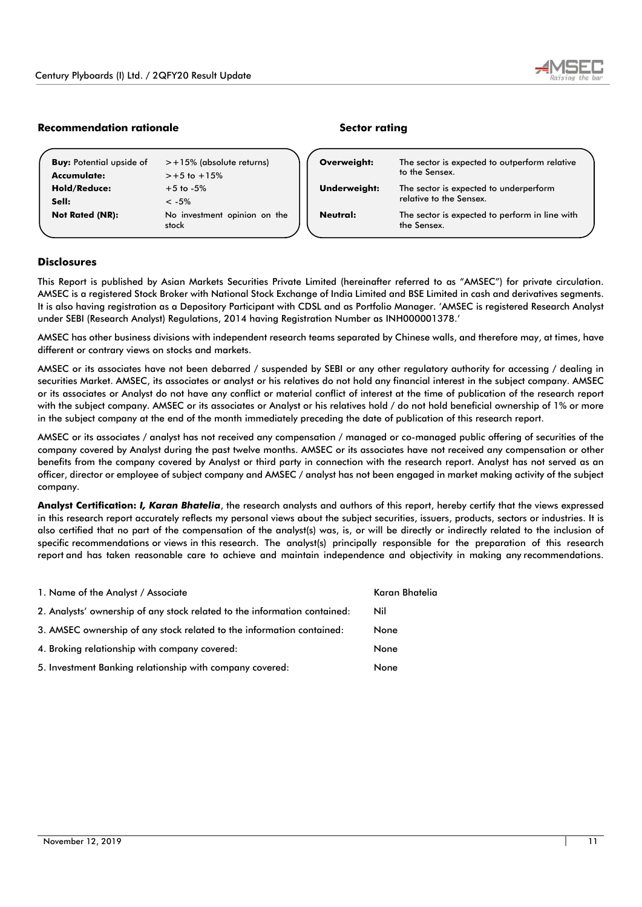

# **Recommendation rationale and all resources in the Sector rating Recommendation rational extension of the Sector rating**

| <b>Buy:</b> Potential upside of | $> +15\%$ (absolute returns)          | Overweight:  | The sector is expected to outperform relative                 |
|---------------------------------|---------------------------------------|--------------|---------------------------------------------------------------|
| Accumulate:                     | $> +5$ to $+15%$                      |              | to the Sensex.                                                |
| <b>Hold/Reduce:</b>             | $+5$ to $-5\%$                        | Underweight: | The sector is expected to underperform                        |
| Sell:                           | $\leq -5\%$                           |              | relative to the Sensex.                                       |
| <b>Not Rated (NR):</b>          | No investment opinion on the<br>stock | Neutral:     | The sector is expected to perform in line with<br>the Sensex. |

# **Disclosures**

This Report is published by Asian Markets Securities Private Limited (hereinafter referred to as "AMSEC") for private circulation. AMSEC is a registered Stock Broker with National Stock Exchange of India Limited and BSE Limited in cash and derivatives segments. It is also having registration as a Depository Participant with CDSL and as Portfolio Manager. 'AMSEC is registered Research Analyst under SEBI (Research Analyst) Regulations, 2014 having Registration Number as INH000001378.'

AMSEC has other business divisions with independent research teams separated by Chinese walls, and therefore may, at times, have different or contrary views on stocks and markets.

AMSEC or its associates have not been debarred / suspended by SEBI or any other regulatory authority for accessing / dealing in securities Market. AMSEC, its associates or analyst or his relatives do not hold any financial interest in the subject company. AMSEC or its associates or Analyst do not have any conflict or material conflict of interest at the time of publication of the research report with the subject company. AMSEC or its associates or Analyst or his relatives hold / do not hold beneficial ownership of 1% or more in the subject company at the end of the month immediately preceding the date of publication of this research report.

AMSEC or its associates / analyst has not received any compensation / managed or co-managed public offering of securities of the company covered by Analyst during the past twelve months. AMSEC or its associates have not received any compensation or other benefits from the company covered by Analyst or third party in connection with the research report. Analyst has not served as an officer, director or employee of subject company and AMSEC / analyst has not been engaged in market making activity of the subject company.

**Analyst Certification:** *I, Karan Bhatelia*, the research analysts and authors of this report, hereby certify that the views expressed in this research report accurately reflects my personal views about the subject securities, issuers, products, sectors or industries. It is also certified that no part of the compensation of the analyst(s) was, is, or will be directly or indirectly related to the inclusion of specific recommendations or views in this research. The analyst(s) principally responsible for the preparation of this research report and has taken reasonable care to achieve and maintain independence and objectivity in making any recommendations.

| 1. Name of the Analyst / Associate                                        | Karan Bhatelia |
|---------------------------------------------------------------------------|----------------|
| 2. Analysts' ownership of any stock related to the information contained: | Nil            |
| 3. AMSEC ownership of any stock related to the information contained:     | None           |
| 4. Broking relationship with company covered:                             | None           |
| 5. Investment Banking relationship with company covered:                  | None           |